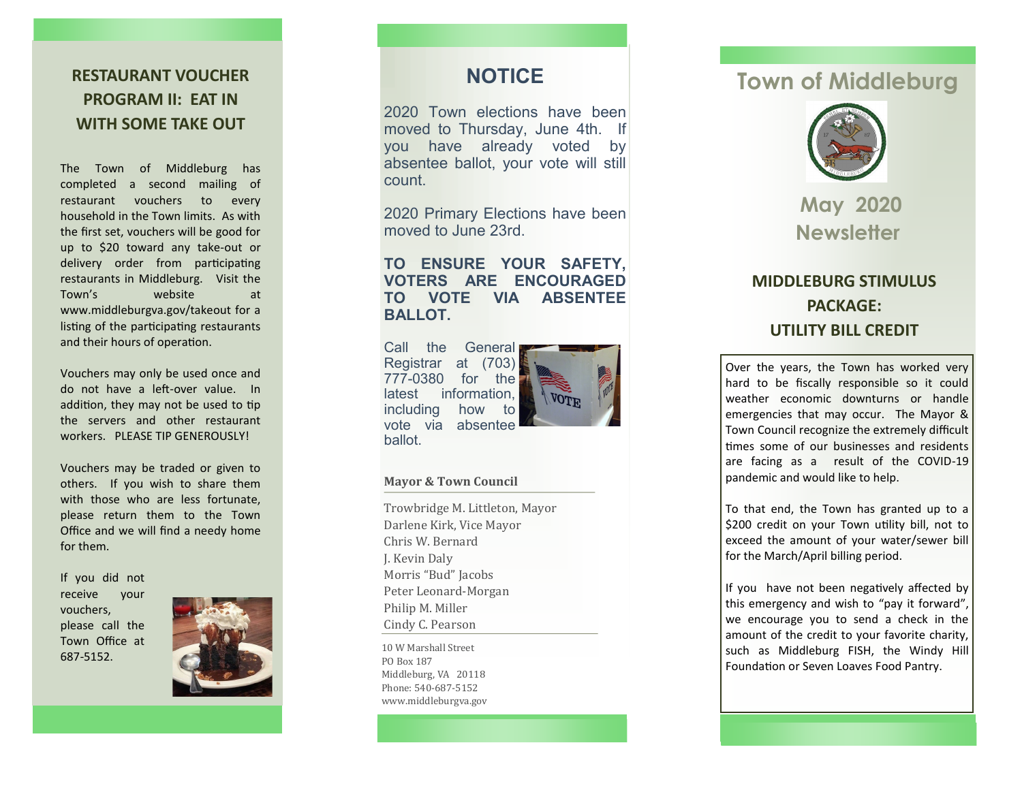**RESTAURANT VOUCHER PROGRAM II: EAT IN WITH SOME TAKE OUT**

The Town of Middleburg has completed a second mailing of restaurant vouchers to every household in the Town limits. As with the first set, vouchers will be good for up to \$20 toward any take -out or delivery order from participating restaurants in Middleburg. Visit the Town website at www.middleburgva.gov/takeout for a listing of the participating restaurants and their hours of operation.

Vouchers may only be used once and do not have a left -over value. In addition, they may not be used to tip the servers and other restaurant WORKERS. PLEASE TIP GENEROUSLYL

Vouchers may be traded or given to others. If you wish to share them with those who are less fortunate. please return them to the Town Office and we will find a needy home for them.

If you did not receive your vouchers, please call the Town Office at 687 -5152.



## **NOTICE**

2020 Town elections have been moved to Thursday, June 4th. If you have already voted by absentee ballot, your vote will still count.

2020 Primary Elections have been moved to June 23rd.

### **TO ENSURE YOUR SAFETY, VOTERS ARE ENCOURAGED TO VOTE VIA ABSENTEE BALLOT.**

Call the General Registrar at (703) 777 -0380 for the latest information, including how to vote via absentee ballot.



#### **Mayor & Town Council**

Trowbridge M. Littleton, Mayor Darlene Kirk, Vice Mayor Chris W. Bernard J. Kevin Daly Morris "Bud" Jacobs Peter Leonard -Morgan Philip M. Miller Cindy C. Pearson

10 W Marshall Street PO Box 187 Middleburg, VA 20118 Phone: 540-687-5152 www.middleburgva.gov

# **Town of Middleburg**



**May 2020 Newsletter**

# **MIDDLEBURG STIMULUS PACKAGE: UTILITY BILL CREDIT**

Over the years, the Town has worked very hard to be fiscally responsible so it could weather economic downturns or handle emergencies that may occur. The Mayor & Town Council recognize the extremely difficult times some of our businesses and residents are facing as a result of the COVID -19 pandemic and would like to help.

To that end, the Town has granted up to a \$200 credit on your Town utility bill, not to exceed the amount of your water/sewer bill for the March/April billing period.

If you have not been negatively affected by this emergency and wish to "pay it forward", we encourage you to send a check in the amount of the credit to your favorite charity, such as Middleburg FISH, the Windy Hill Foundation or Seven Loaves Food Pantry.